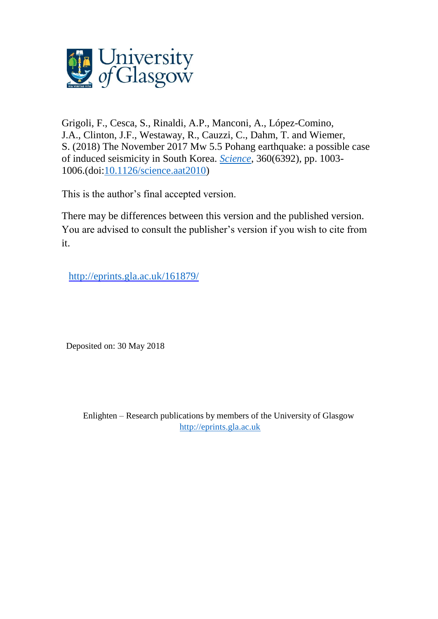

Grigoli, F., Cesca, S., Rinaldi, A.P., Manconi, A., López-Comino, J.A., Clinton, J.F., Westaway, R., Cauzzi, C., Dahm, T. and Wiemer, S. (2018) The November 2017 Mw 5.5 Pohang earthquake: a possible case of induced seismicity in South Korea. *[Science](http://eprints.gla.ac.uk/view/journal_volume/Science.html)*, 360(6392), pp. 1003- 1006.(doi[:10.1126/science.aat2010\)](http://dx.doi.org/10.1126/science.aat2010)

This is the author's final accepted version.

There may be differences between this version and the published version. You are advised to consult the publisher's version if you wish to cite from it.

http://eprints.gla.ac.uk/161879/

Deposited on: 30 May 2018

Enlighten – Research publications by members of the University of Glasgow [http://eprints.gla.ac.uk](http://eprints.gla.ac.uk/)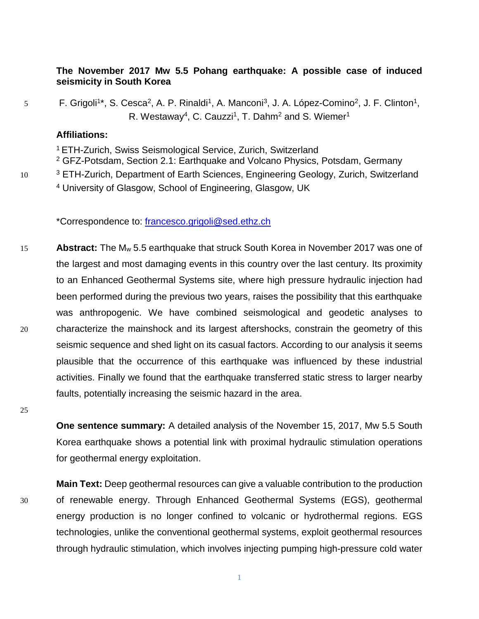## **The November 2017 Mw 5.5 Pohang earthquake: A possible case of induced seismicity in South Korea**

5 F. Grigoli<sup>1\*</sup>, S. Cesca<sup>2</sup>, A. P. Rinaldi<sup>1</sup>, A. Manconi<sup>3</sup>, J. A. López-Comino<sup>2</sup>, J. F. Clinton<sup>1</sup>, R. Westaway<sup>4</sup>, C. Cauzzi<sup>1</sup>, T. Dahm<sup>2</sup> and S. Wiemer<sup>1</sup>

## **Affiliations:**

<sup>1</sup> ETH-Zurich, Swiss Seismological Service, Zurich, Switzerland <sup>2</sup> GFZ-Potsdam, Section 2.1: Earthquake and Volcano Physics, Potsdam, Germany 10 <sup>3</sup> ETH-Zurich, Department of Earth Sciences, Engineering Geology, Zurich, Switzerland <sup>4</sup> University of Glasgow, School of Engineering, Glasgow, UK

\*Correspondence to: [francesco.grigoli@sed.ethz.ch](mailto:francesco.grigoli@sed.ethz.ch)

15 **Abstract:** The M<sup>w</sup> 5.5 earthquake that struck South Korea in November 2017 was one of the largest and most damaging events in this country over the last century. Its proximity to an Enhanced Geothermal Systems site, where high pressure hydraulic injection had been performed during the previous two years, raises the possibility that this earthquake was anthropogenic. We have combined seismological and geodetic analyses to 20 characterize the mainshock and its largest aftershocks, constrain the geometry of this seismic sequence and shed light on its casual factors. According to our analysis it seems plausible that the occurrence of this earthquake was influenced by these industrial activities. Finally we found that the earthquake transferred static stress to larger nearby faults, potentially increasing the seismic hazard in the area.

**One sentence summary:** A detailed analysis of the November 15, 2017, Mw 5.5 South Korea earthquake shows a potential link with proximal hydraulic stimulation operations for geothermal energy exploitation.

25

**Main Text:** Deep geothermal resources can give a valuable contribution to the production 30 of renewable energy. Through Enhanced Geothermal Systems (EGS), geothermal energy production is no longer confined to volcanic or hydrothermal regions. EGS technologies, unlike the conventional geothermal systems, exploit geothermal resources through hydraulic stimulation, which involves injecting pumping high-pressure cold water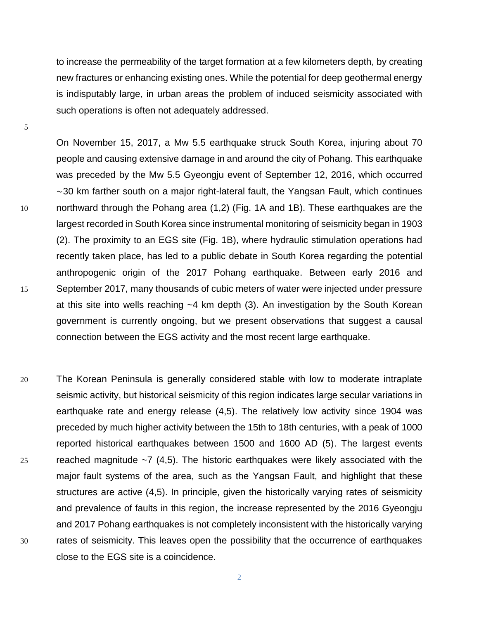to increase the permeability of the target formation at a few kilometers depth, by creating new fractures or enhancing existing ones. While the potential for deep geothermal energy is indisputably large, in urban areas the problem of induced seismicity associated with such operations is often not adequately addressed.

On November 15, 2017, a Mw 5.5 earthquake struck South Korea, injuring about 70 people and causing extensive damage in and around the city of Pohang. This earthquake was preceded by the Mw 5.5 Gyeongju event of September 12, 2016, which occurred ∼30 km farther south on a major right-lateral fault, the Yangsan Fault, which continues 10 northward through the Pohang area (1,2) (Fig. 1A and 1B). These earthquakes are the largest recorded in South Korea since instrumental monitoring of seismicity began in 1903 (2). The proximity to an EGS site (Fig. 1B), where hydraulic stimulation operations had recently taken place, has led to a public debate in South Korea regarding the potential anthropogenic origin of the 2017 Pohang earthquake. Between early 2016 and 15 September 2017, many thousands of cubic meters of water were injected under pressure at this site into wells reaching ~4 km depth (3). An investigation by the South Korean government is currently ongoing, but we present observations that suggest a causal connection between the EGS activity and the most recent large earthquake.

20 The Korean Peninsula is generally considered stable with low to moderate intraplate seismic activity, but historical seismicity of this region indicates large secular variations in earthquake rate and energy release (4,5). The relatively low activity since 1904 was preceded by much higher activity between the 15th to 18th centuries, with a peak of 1000 reported historical earthquakes between 1500 and 1600 AD (5). The largest events 25 reached magnitude  $\sim$ 7 (4,5). The historic earthquakes were likely associated with the major fault systems of the area, such as the Yangsan Fault, and highlight that these structures are active (4,5). In principle, given the historically varying rates of seismicity and prevalence of faults in this region, the increase represented by the 2016 Gyeongju and 2017 Pohang earthquakes is not completely inconsistent with the historically varying 30 rates of seismicity. This leaves open the possibility that the occurrence of earthquakes close to the EGS site is a coincidence.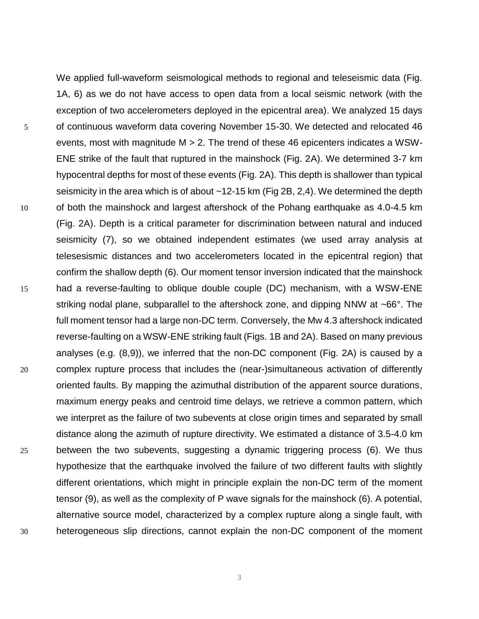We applied full-waveform seismological methods to regional and teleseismic data (Fig. 1A, 6) as we do not have access to open data from a local seismic network (with the exception of two accelerometers deployed in the epicentral area). We analyzed 15 days 5 of continuous waveform data covering November 15-30. We detected and relocated 46 events, most with magnitude M > 2. The trend of these 46 epicenters indicates a WSW-ENE strike of the fault that ruptured in the mainshock (Fig. 2A). We determined 3-7 km hypocentral depths for most of these events (Fig. 2A). This depth is shallower than typical seismicity in the area which is of about ~12-15 km (Fig 2B, 2,4). We determined the depth 10 of both the mainshock and largest aftershock of the Pohang earthquake as 4.0-4.5 km (Fig. 2A). Depth is a critical parameter for discrimination between natural and induced seismicity (7), so we obtained independent estimates (we used array analysis at telesesismic distances and two accelerometers located in the epicentral region) that confirm the shallow depth (6). Our moment tensor inversion indicated that the mainshock 15 had a reverse-faulting to oblique double couple (DC) mechanism, with a WSW-ENE striking nodal plane, subparallel to the aftershock zone, and dipping NNW at ~66°. The full moment tensor had a large non-DC term. Conversely, the Mw 4.3 aftershock indicated reverse-faulting on a WSW-ENE striking fault (Figs. 1B and 2A). Based on many previous analyses (e.g. (8,9)), we inferred that the non-DC component (Fig. 2A) is caused by a 20 complex rupture process that includes the (near-)simultaneous activation of differently oriented faults. By mapping the azimuthal distribution of the apparent source durations, maximum energy peaks and centroid time delays, we retrieve a common pattern, which we interpret as the failure of two subevents at close origin times and separated by small distance along the azimuth of rupture directivity. We estimated a distance of 3.5-4.0 km 25 between the two subevents, suggesting a dynamic triggering process (6). We thus hypothesize that the earthquake involved the failure of two different faults with slightly different orientations, which might in principle explain the non-DC term of the moment tensor (9), as well as the complexity of P wave signals for the mainshock (6). A potential, alternative source model, characterized by a complex rupture along a single fault, with 30 heterogeneous slip directions, cannot explain the non-DC component of the moment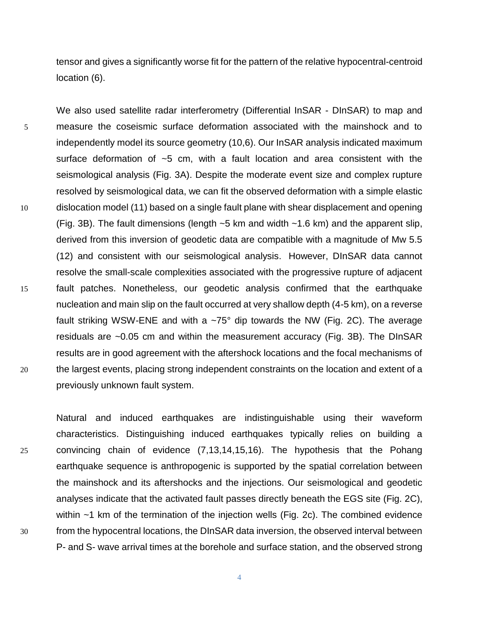tensor and gives a significantly worse fit for the pattern of the relative hypocentral-centroid location (6).

We also used satellite radar interferometry (Differential InSAR - DInSAR) to map and 5 measure the coseismic surface deformation associated with the mainshock and to independently model its source geometry (10,6). Our InSAR analysis indicated maximum surface deformation of ~5 cm, with a fault location and area consistent with the seismological analysis (Fig. 3A). Despite the moderate event size and complex rupture resolved by seismological data, we can fit the observed deformation with a simple elastic 10 dislocation model (11) based on a single fault plane with shear displacement and opening (Fig. 3B). The fault dimensions (length ~5 km and width ~1.6 km) and the apparent slip, derived from this inversion of geodetic data are compatible with a magnitude of Mw 5.5 (12) and consistent with our seismological analysis. However, DInSAR data cannot resolve the small-scale complexities associated with the progressive rupture of adjacent 15 fault patches. Nonetheless, our geodetic analysis confirmed that the earthquake nucleation and main slip on the fault occurred at very shallow depth (4-5 km), on a reverse fault striking WSW-ENE and with a  $\sim$ 75° dip towards the NW (Fig. 2C). The average residuals are ~0.05 cm and within the measurement accuracy (Fig. 3B). The DInSAR results are in good agreement with the aftershock locations and the focal mechanisms of 20 the largest events, placing strong independent constraints on the location and extent of a previously unknown fault system.

Natural and induced earthquakes are indistinguishable using their waveform characteristics. Distinguishing induced earthquakes typically relies on building a 25 convincing chain of evidence (7,13,14,15,16). The hypothesis that the Pohang earthquake sequence is anthropogenic is supported by the spatial correlation between the mainshock and its aftershocks and the injections. Our seismological and geodetic analyses indicate that the activated fault passes directly beneath the EGS site (Fig. 2C), within ~1 km of the termination of the injection wells (Fig. 2c). The combined evidence 30 from the hypocentral locations, the DInSAR data inversion, the observed interval between P- and S- wave arrival times at the borehole and surface station, and the observed strong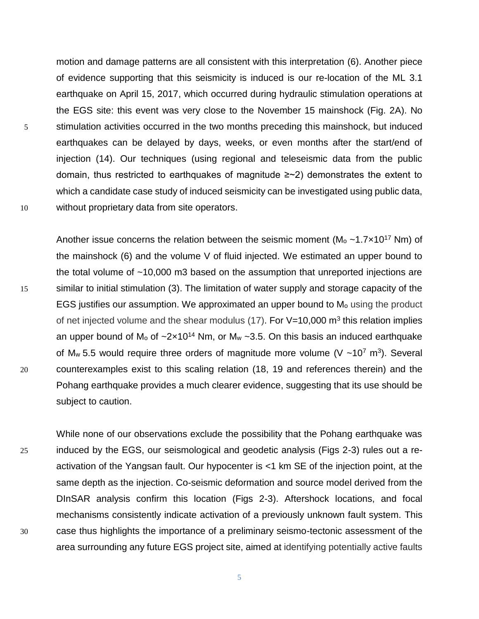motion and damage patterns are all consistent with this interpretation (6). Another piece of evidence supporting that this seismicity is induced is our re-location of the ML 3.1 earthquake on April 15, 2017, which occurred during hydraulic stimulation operations at the EGS site: this event was very close to the November 15 mainshock (Fig. 2A). No 5 stimulation activities occurred in the two months preceding this mainshock, but induced earthquakes can be delayed by days, weeks, or even months after the start/end of injection (14). Our techniques (using regional and teleseismic data from the public domain, thus restricted to earthquakes of magnitude ≥~2) demonstrates the extent to which a candidate case study of induced seismicity can be investigated using public data, 10 without proprietary data from site operators.

Another issue concerns the relation between the seismic moment ( $M_0 \sim 1.7 \times 10^{17}$  Nm) of the mainshock (6) and the volume V of fluid injected. We estimated an upper bound to the total volume of ~10,000 m3 based on the assumption that unreported injections are 15 similar to initial stimulation (3). The limitation of water supply and storage capacity of the EGS justifies our assumption. We approximated an upper bound to M<sub>o</sub> using the product of net injected volume and the shear modulus (17). For V=10,000 m<sup>3</sup> this relation implies an upper bound of  $M_0$  of  $\sim 2 \times 10^{14}$  Nm, or  $M_w \sim 3.5$ . On this basis an induced earthquake of M<sub>w</sub> 5.5 would require three orders of magnitude more volume (V ~10<sup>7</sup> m<sup>3</sup>). Several 20 counterexamples exist to this scaling relation (18, 19 and references therein) and the Pohang earthquake provides a much clearer evidence, suggesting that its use should be subject to caution.

While none of our observations exclude the possibility that the Pohang earthquake was 25 induced by the EGS, our seismological and geodetic analysis (Figs 2-3) rules out a reactivation of the Yangsan fault. Our hypocenter is <1 km SE of the injection point, at the same depth as the injection. Co-seismic deformation and source model derived from the DInSAR analysis confirm this location (Figs 2-3). Aftershock locations, and focal mechanisms consistently indicate activation of a previously unknown fault system. This 30 case thus highlights the importance of a preliminary seismo-tectonic assessment of the area surrounding any future EGS project site, aimed at identifying potentially active faults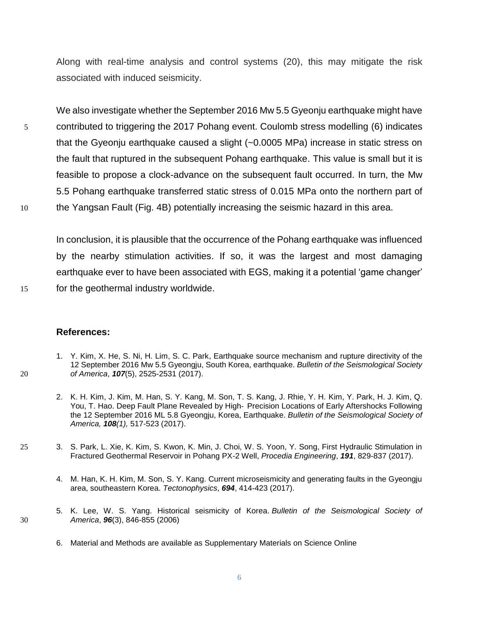Along with real-time analysis and control systems (20), this may mitigate the risk associated with induced seismicity.

We also investigate whether the September 2016 Mw 5.5 Gyeonju earthquake might have 5 contributed to triggering the 2017 Pohang event. Coulomb stress modelling (6) indicates that the Gyeonju earthquake caused a slight (~0.0005 MPa) increase in static stress on the fault that ruptured in the subsequent Pohang earthquake. This value is small but it is feasible to propose a clock-advance on the subsequent fault occurred. In turn, the Mw 5.5 Pohang earthquake transferred static stress of 0.015 MPa onto the northern part of 10 the Yangsan Fault (Fig. 4B) potentially increasing the seismic hazard in this area.

In conclusion, it is plausible that the occurrence of the Pohang earthquake was influenced by the nearby stimulation activities. If so, it was the largest and most damaging earthquake ever to have been associated with EGS, making it a potential 'game changer' 15 for the geothermal industry worldwide.

## **References:**

- 1. Y. Kim, X. He, S. Ni, H. Lim, S. C. Park, Earthquake source mechanism and rupture directivity of the 12 September 2016 Mw 5.5 Gyeongju, South Korea, earthquake. *Bulletin of the Seismological Society*  20 *of America*, *107*(5), 2525-2531 (2017).
	- 2. K. H. Kim, J. Kim, M. Han, S. Y. Kang, M. Son, T. S. Kang, J. Rhie, Y. H. Kim, Y. Park, H. J. Kim, Q. You, T. Hao. Deep Fault Plane Revealed by High‐ Precision Locations of Early Aftershocks Following the 12 September 2016 ML 5.8 Gyeongju, Korea, Earthquake. *Bulletin of the Seismological Society of America, 108(1),* 517-523 (2017).
- 25 3. S. Park, L. Xie, K. Kim, S. Kwon, K. Min, J. Choi, W. S. Yoon, Y. Song, First Hydraulic Stimulation in Fractured Geothermal Reservoir in Pohang PX-2 Well, *Procedia Engineering*, *191*, 829-837 (2017).
	- 4. M. Han, K. H. Kim, M. Son, S. Y. Kang. Current microseismicity and generating faults in the Gyeongju area, southeastern Korea. *Tectonophysics*, *694*, 414-423 (2017).
- 5. K. Lee, W. S. Yang. Historical seismicity of Korea. *Bulletin of the Seismological Society of*  30 *America*, *96*(3), 846-855 (2006)
	- 6. Material and Methods are available as Supplementary Materials on Science Online
		- 6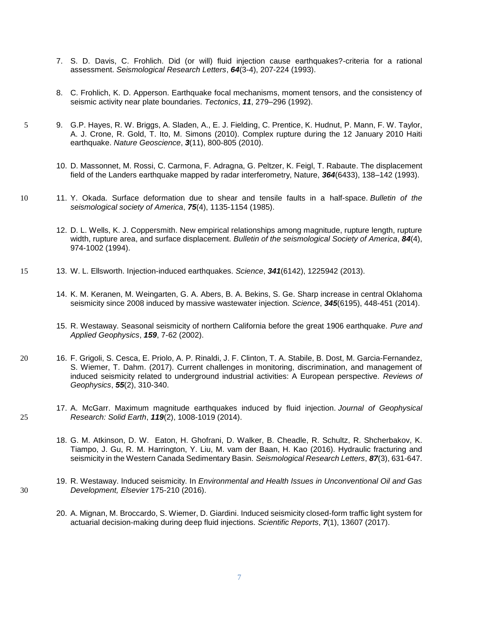- 7. S. D. Davis, C. Frohlich. Did (or will) fluid injection cause earthquakes?-criteria for a rational assessment. *Seismological Research Letters*, *64*(3-4), 207-224 (1993).
- 8. C. Frohlich, K. D. Apperson. Earthquake focal mechanisms, moment tensors, and the consistency of seismic activity near plate boundaries. *Tectonics*, *11*, 279–296 (1992).
- 5 9. G.P. Hayes, R. W. Briggs, A. Sladen, A., E. J. Fielding, C. Prentice, K. Hudnut, P. Mann, F. W. Taylor, A. J. Crone, R. Gold, T. Ito, M. Simons (2010). Complex rupture during the 12 January 2010 Haiti earthquake. *Nature Geoscience*, *3*(11), 800-805 (2010).
	- 10. D. Massonnet, M. Rossi, C. Carmona, F. Adragna, G. Peltzer, K. Feigl, T. Rabaute. The displacement field of the Landers earthquake mapped by radar interferometry, Nature, *364*(6433), 138–142 (1993).
- 10 11. Y. Okada. Surface deformation due to shear and tensile faults in a half-space. *Bulletin of the seismological society of America*, *75*(4), 1135-1154 (1985).
	- 12. D. L. Wells, K. J. Coppersmith. New empirical relationships among magnitude, rupture length, rupture width, rupture area, and surface displacement. *Bulletin of the seismological Society of America*, *84*(4), 974-1002 (1994).
- 15 13. W. L. Ellsworth. Injection-induced earthquakes. *Science*, *341*(6142), 1225942 (2013).
	- 14. K. M. Keranen, M. Weingarten, G. A. Abers, B. A. Bekins, S. Ge. Sharp increase in central Oklahoma seismicity since 2008 induced by massive wastewater injection. *Science*, *345*(6195), 448-451 (2014).
	- 15. R. Westaway. Seasonal seismicity of northern California before the great 1906 earthquake. *Pure and Applied Geophysics*, *159*, 7-62 (2002).
- 20 16. F. Grigoli, S. Cesca, E. Priolo, A. P. Rinaldi, J. F. Clinton, T. A. Stabile, B. Dost, M. Garcia-Fernandez, S. Wiemer, T. Dahm. (2017). Current challenges in monitoring, discrimination, and management of induced seismicity related to underground industrial activities: A European perspective. *Reviews of Geophysics*, *55*(2), 310-340.
- 17. A. McGarr. Maximum magnitude earthquakes induced by fluid injection. *Journal of Geophysical*  25 *Research: Solid Earth*, *119*(2), 1008-1019 (2014).
	- 18. G. M. Atkinson, D. W. Eaton, H. Ghofrani, D. Walker, B. Cheadle, R. Schultz, R. Shcherbakov, K. Tiampo, J. Gu, R. M. Harrington, Y. Liu, M. vam der Baan, H. Kao (2016). Hydraulic fracturing and seismicity in the Western Canada Sedimentary Basin. *Seismological Research Letters*, *87*(3), 631-647.
- 19. R. Westaway. Induced seismicity. In *Environmental and Health Issues in Unconventional Oil and Gas*  30 *Development, Elsevier* 175-210 (2016).
	- 20. A. Mignan, M. Broccardo, S. Wiemer, D. Giardini. Induced seismicity closed-form traffic light system for actuarial decision-making during deep fluid injections. *Scientific Reports*, *7*(1), 13607 (2017).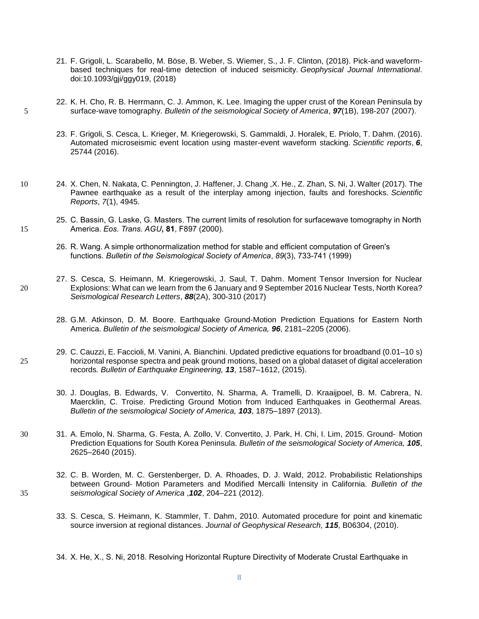- 21. F. Grigoli, L. Scarabello, M. Böse, B. Weber, S. Wiemer, S., J. F. Clinton, (2018). Pick-and waveformbased techniques for real-time detection of induced seismicity. *Geophysical Journal International*. doi:10.1093/gji/ggy019, (2018)
- 22. K. H. Cho, R. B. Herrmann, C. J. Ammon, K. Lee. Imaging the upper crust of the Korean Peninsula by 5 surface-wave tomography. *Bulletin of the seismological Society of America*, *97*(1B), 198-207 (2007).
	- 23. F. Grigoli, S. Cesca, L. Krieger, M. Kriegerowski, S. Gammaldi, J. Horalek, E. Priolo, T. Dahm. (2016). Automated microseismic event location using master-event waveform stacking. *Scientific reports*, *6*, 25744 (2016).
- 10 24. X. Chen, N. Nakata, C. Pennington, J. Haffener, J. Chang ,X. He., Z. Zhan, S. Ni, J. Walter (2017). The Pawnee earthquake as a result of the interplay among injection, faults and foreshocks. *Scientific Reports*, *7*(1), 4945.
- 25. C. Bassin, G. Laske, G. Masters. The current limits of resolution for surfacewave tomography in North 15 America. *Eos. Trans. AGU***, 81**, F897 (2000).
	- 26. R. Wang. A simple orthonormalization method for stable and efficient computation of Green's functions. *Bulletin of the Seismological Society of America*, *89*(3), 733-741 (1999)
- 27. S. Cesca, S. Heimann, M. Kriegerowski, J. Saul, T. Dahm. Moment Tensor Inversion for Nuclear 20 Explosions: What can we learn from the 6 January and 9 September 2016 Nuclear Tests, North Korea? *Seismological Research Letters*, *88*(2A), 300-310 (2017)
	- 28. G.M. Atkinson, D. M. Boore. Earthquake Ground-Motion Prediction Equations for Eastern North America. *Bulletin of the seismological Society of America, 96*, 2181–2205 (2006).
- 29. C. Cauzzi, E. Faccioli, M. Vanini, A. Bianchini. Updated predictive equations for broadband (0.01–10 s) 25 horizontal response spectra and peak ground motions, based on a global dataset of digital acceleration records*. Bulletin of Earthquake Engineering, 13*, 1587–1612, (2015).
	- 30. J. Douglas, B. Edwards, V. Convertito, N. Sharma, A. Tramelli, D. Kraaijpoel, B. M. Cabrera, N. Maercklin, C. Troise. Predicting Ground Motion from Induced Earthquakes in Geothermal Areas. *Bulletin of the seismological Society of America, 103*, 1875–1897 (2013).
- 30 31. A. Emolo, N. Sharma, G. Festa, A. Zollo, V. Convertito, J. Park, H. Chi, I. Lim, 2015. Ground‐ Motion Prediction Equations for South Korea Peninsula. *Bulletin of the seismological Society of America, 105*, 2625–2640 (2015).
- 32. C. B. Worden, M. C. Gerstenberger, D. A. Rhoades, D. J. Wald, 2012. Probabilistic Relationships between Ground‐ Motion Parameters and Modified Mercalli Intensity in California. *Bulletin of the*  35 *seismological Society of America* ,*102*, 204–221 (2012).
	- 33. S. Cesca, S. Heimann, K. Stammler, T. Dahm, 2010. Automated procedure for point and kinematic source inversion at regional distances. *Journal of Geophysical Research, 115*, B06304, (2010).
	- 34. X. He, X., S. Ni, 2018. Resolving Horizontal Rupture Directivity of Moderate Crustal Earthquake in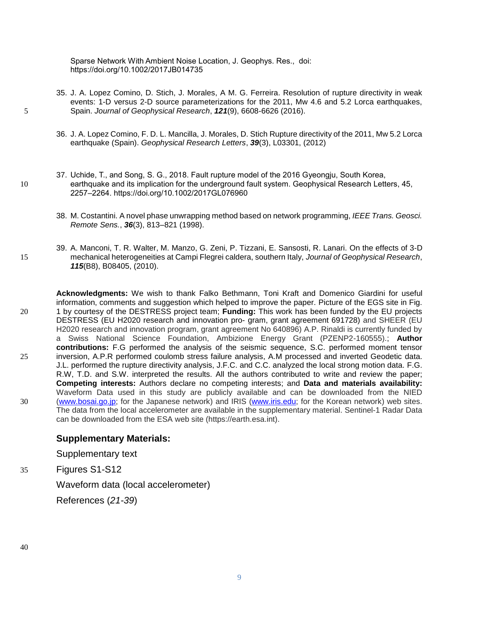Sparse Network With Ambient Noise Location, J. Geophys. Res., doi: https://doi.org/10.1002/2017JB014735

- 35. J. A. Lopez Comino, D. Stich, J. Morales, A M. G. Ferreira. Resolution of rupture directivity in weak events: 1-D versus 2-D source parameterizations for the 2011, Mw 4.6 and 5.2 Lorca earthquakes, 5 Spain. *Journal of Geophysical Research*, *121*(9), 6608-6626 (2016).
	- 36. J. A. Lopez Comino, F. D. L. Mancilla, J. Morales, D. Stich Rupture directivity of the 2011, Mw 5.2 Lorca earthquake (Spain). *Geophysical Research Letters*, *39*(3), L03301, (2012)
- 37. Uchide, T., and Song, S. G., 2018. Fault rupture model of the 2016 Gyeongju, South Korea, 10 earthquake and its implication for the underground fault system. Geophysical Research Letters, 45, 2257–2264. https://doi.org/10.1002/2017GL076960
	- 38. M. Costantini. A novel phase unwrapping method based on network programming, *IEEE Trans. Geosci. Remote Sens.*, *36*(3), 813–821 (1998).
- 39. A. Manconi, T. R. Walter, M. Manzo, G. Zeni, P. Tizzani, E. Sansosti, R. Lanari. On the effects of 3-D 15 mechanical heterogeneities at Campi Flegrei caldera, southern Italy, *Journal of Geophysical Research*, *115*(B8), B08405, (2010).
- **Acknowledgments:** We wish to thank Falko Bethmann, Toni Kraft and Domenico Giardini for useful information, comments and suggestion which helped to improve the paper. Picture of the EGS site in Fig. 20 1 by courtesy of the DESTRESS project team; **Funding:** This work has been funded by the EU projects DESTRESS (EU H2020 research and innovation pro- gram, grant agreement 691728) and SHEER (EU H2020 research and innovation program, grant agreement No 640896) A.P. Rinaldi is currently funded by a Swiss National Science Foundation, Ambizione Energy Grant (PZENP2-160555).; **Author contributions:** F.G performed the analysis of the seismic sequence, S.C. performed moment tensor 25 inversion, A.P.R performed coulomb stress failure analysis, A.M processed and inverted Geodetic data. J.L. performed the rupture directivity analysis, J.F.C. and C.C. analyzed the local strong motion data. F.G. R.W, T.D. and S.W. interpreted the results. All the authors contributed to write and review the paper; **Competing interests:** Authors declare no competing interests; and **Data and materials availability:** Waveform Data used in this study are publicly available and can be downloaded from the NIED 30 [\(www.bosai.go.jp;](http://www.bosai.go.jp/) for the Japanese network) and IRIS [\(www.iris.edu;](http://www.iris.edu/) for the Korean network) web sites. The data from the local accelerometer are available in the supplementary material. Sentinel-1 Radar Data can be downloaded from the ESA web site (https://earth.esa.int).

## **Supplementary Materials:**

Supplementary text

35 Figures S1-S12

Waveform data (local accelerometer)

References (*21-39*)

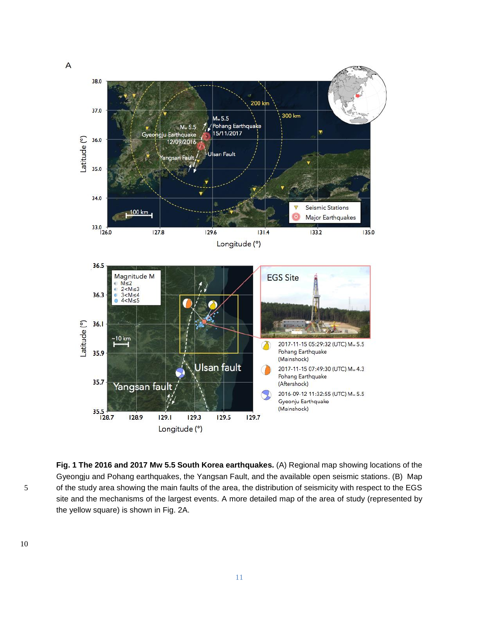

**Fig. 1 The 2016 and 2017 Mw 5.5 South Korea earthquakes.** (A) Regional map showing locations of the Gyeongju and Pohang earthquakes, the Yangsan Fault, and the available open seismic stations. (B) Map 5 of the study area showing the main faults of the area, the distribution of seismicity with respect to the EGS site and the mechanisms of the largest events. A more detailed map of the area of study (represented by the yellow square) is shown in Fig. 2A.

 $\overline{A}$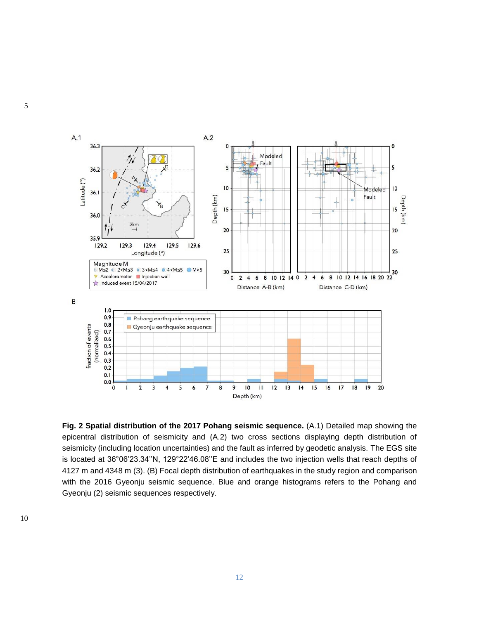

**Fig. 2 Spatial distribution of the 2017 Pohang seismic sequence.** (A.1) Detailed map showing the epicentral distribution of seismicity and (A.2) two cross sections displaying depth distribution of seismicity (including location uncertainties) and the fault as inferred by geodetic analysis. The EGS site is located at 36°06'23.34''N, 129°22'46.08''E and includes the two injection wells that reach depths of 4127 m and 4348 m (3). (B) Focal depth distribution of earthquakes in the study region and comparison with the 2016 Gyeonju seismic sequence. Blue and orange histograms refers to the Pohang and Gyeonju (2) seismic sequences respectively.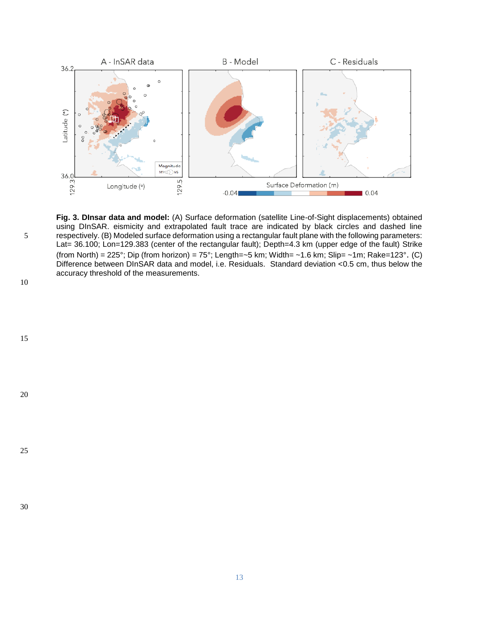

**Fig. 3. DInsar data and model:** (A) Surface deformation (satellite Line-of-Sight displacements) obtained using DInSAR. eismicity and extrapolated fault trace are indicated by black circles and dashed line 5 respectively. (B) Modeled surface deformation using a rectangular fault plane with the following parameters: Lat= 36.100; Lon=129.383 (center of the rectangular fault); Depth=4.3 km (upper edge of the fault) Strike (from North) = 225°; Dip (from horizon) = 75°; Length=~5 km; Width= ~1.6 km; Slip= ~1m; Rake=123°. (C) Difference between DInSAR data and model, i.e. Residuals. Standard deviation <0.5 cm, thus below the accuracy threshold of the measurements.





20